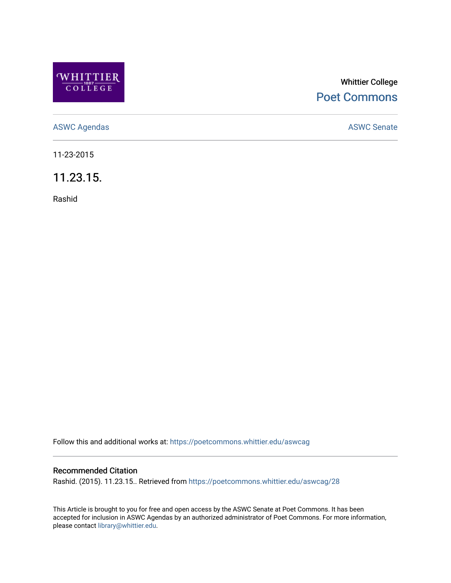

## Whittier College [Poet Commons](https://poetcommons.whittier.edu/)

[ASWC Agendas](https://poetcommons.whittier.edu/aswcag) **ASWC Senate** 

11-23-2015

11.23.15.

Rashid

Follow this and additional works at: [https://poetcommons.whittier.edu/aswcag](https://poetcommons.whittier.edu/aswcag?utm_source=poetcommons.whittier.edu%2Faswcag%2F28&utm_medium=PDF&utm_campaign=PDFCoverPages) 

## Recommended Citation

Rashid. (2015). 11.23.15.. Retrieved from [https://poetcommons.whittier.edu/aswcag/28](https://poetcommons.whittier.edu/aswcag/28?utm_source=poetcommons.whittier.edu%2Faswcag%2F28&utm_medium=PDF&utm_campaign=PDFCoverPages)

This Article is brought to you for free and open access by the ASWC Senate at Poet Commons. It has been accepted for inclusion in ASWC Agendas by an authorized administrator of Poet Commons. For more information, please contact [library@whittier.edu](mailto:library@whittier.edu).